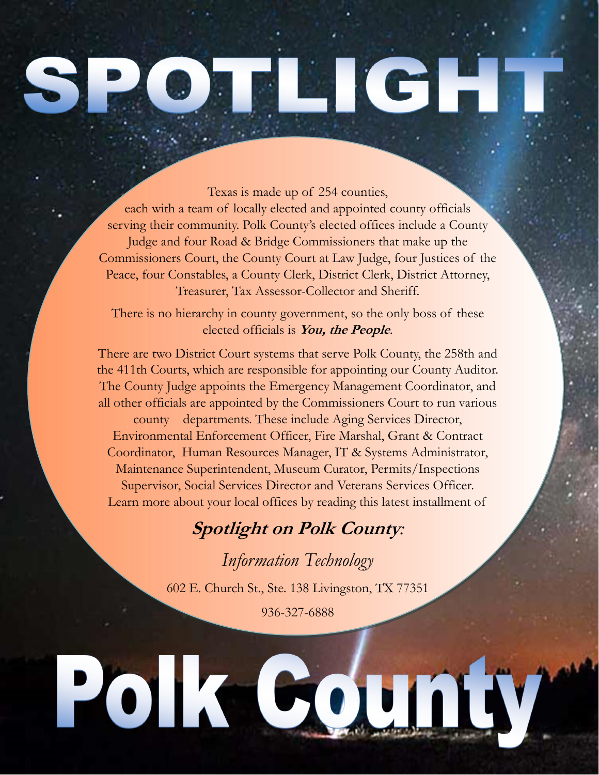## LICH.

Texas is made up of 254 counties, each with a team of locally elected and appointed county officials serving their community. Polk County's elected offices include a County Judge and four Road & Bridge Commissioners that make up the Commissioners Court, the County Court at Law Judge, four Justices of the Peace, four Constables, a County Clerk, District Clerk, District Attorney, Treasurer, Tax Assessor-Collector and Sheriff.

There is no hierarchy in county government, so the only boss of these elected officials is **You, the People**.

There are two District Court systems that serve Polk County, the 258th and the 411th Courts, which are responsible for appointing our County Auditor. The County Judge appoints the Emergency Management Coordinator, and all other officials are appointed by the Commissioners Court to run various county departments. These include Aging Services Director, Environmental Enforcement Officer, Fire Marshal, Grant & Contract Coordinator, Human Resources Manager, IT & Systems Administrator, Maintenance Superintendent, Museum Curator, Permits/Inspections Supervisor, Social Services Director and Veterans Services Officer. Learn more about your local offices by reading this latest installment of

## **Spotlight on Polk County***:*

*Information Technology* 602 E. Church St., Ste. 138 Livingston, TX 77351 936-327-6888

Polk County